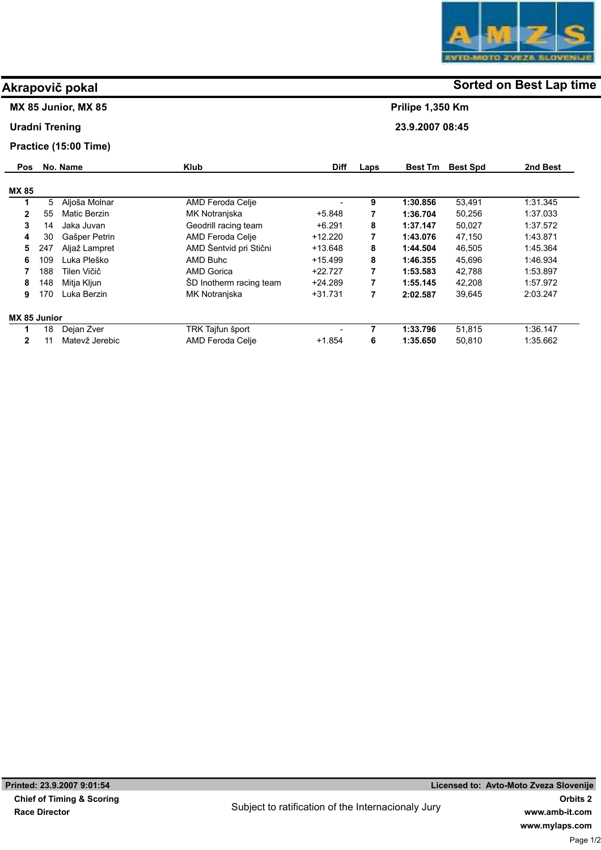

### MX 85 Junior, MX 85

### Uradni Trening

### Practice (15:00 Time)

| <b>Pos</b>   |     | No. Name            | <b>Klub</b>             | <b>Diff</b> | Laps | <b>Best Tm</b> | <b>Best Spd</b> | 2nd Best |
|--------------|-----|---------------------|-------------------------|-------------|------|----------------|-----------------|----------|
| <b>MX 85</b> |     |                     |                         |             |      |                |                 |          |
| 1            | 5   | Aljoša Molnar       | AMD Feroda Celje        |             | 9    | 1:30.856       | 53.491          | 1.31.345 |
| $\mathbf{2}$ | 55  | <b>Matic Berzin</b> | MK Notranjska           | $+5.848$    | 7    | 1:36.704       | 50,256          | 1.37.033 |
| 3            | 14  | Jaka Juvan          | Geodrill racing team    | $+6.291$    | 8    | 1:37.147       | 50.027          | 1.37.572 |
| 4            | 30  | Gašper Petrin       | AMD Feroda Celje        | $+12.220$   | 7    | 1:43.076       | 47,150          | 1.43.871 |
| 5            | 247 | Aljaž Lampret       | AMD Šentvid pri Stični  | $+13.648$   | 8    | 1:44.504       | 46,505          | 1.45.364 |
| 6            | 109 | Luka Pleško         | AMD Buhc                | $+15.499$   | 8    | 1:46.355       | 45,696          | 1.46.934 |
|              | 188 | Tilen Vičič         | <b>AMD Gorica</b>       | $+22.727$   | 7    | 1:53.583       | 42,788          | 1.53.897 |
| 8            | 148 | Mitja Kljun         | SD Inotherm racing team | $+24.289$   | 7    | 1:55.145       | 42.208          | 1.57.972 |
| 9            | 170 | Luka Berzin         | MK Notranjska           | $+31.731$   | 7    | 2:02.587       | 39,645          | 2:03.247 |
| MX 85 Junior |     |                     |                         |             |      |                |                 |          |
| 1            | 18  | Dejan Zver          | TRK Tajfun šport        | -           | 7    | 1:33.796       | 51,815          | 1.36.147 |
| 2            | 11  | Matevž Jerebic      | AMD Feroda Celje        | $+1.854$    | 6    | 1:35.650       | 50.810          | 1.35.662 |

# Akrapovič pokal and some of the society of the Sorted on Best Lap time

Prilipe 1,350 Km

23.9.2007 08:45